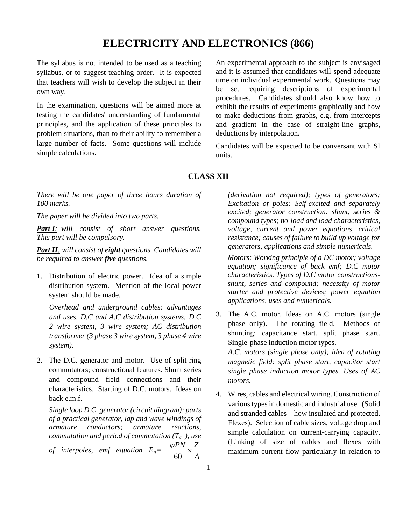## **ELECTRICITY AND ELECTRONICS (866)**

The syllabus is not intended to be used as a teaching syllabus, or to suggest teaching order. It is expected that teachers will wish to develop the subject in their own way.

In the examination, questions will be aimed more at testing the candidates' understanding of fundamental principles, and the application of these principles to problem situations, than to their ability to remember a large number of facts. Some questions will include simple calculations.

An experimental approach to the subject is envisaged and it is assumed that candidates will spend adequate time on individual experimental work. Questions may be set requiring descriptions of experimental procedures. Candidates should also know how to exhibit the results of experiments graphically and how to make deductions from graphs, e.g. from intercepts and gradient in the case of straight-line graphs, deductions by interpolation.

Candidates will be expected to be conversant with SI units.

## **CLASS XII**

*There will be one paper of three hours duration of 100 marks.*

*The paper will be divided into two parts.*

*Part I: will consist of short answer questions. This part will be compulsory.*

*Part II: will consist of eight questions. Candidates will be required to answer five questions.*

1. Distribution of electric power. Idea of a simple distribution system. Mention of the local power system should be made.

*Overhead and underground cables: advantages and uses. D.C and A.C distribution systems: D.C 2 wire system, 3 wire system; AC distribution transformer (3 phase 3 wire system, 3 phase 4 wire system).*

2. The D.C. generator and motor. Use of split-ring commutators; constructional features. Shunt series and compound field connections and their characteristics. Starting of D.C. motors. Ideas on back e.m.f.

*Single loop D.C. generator (circuit diagram); parts of a practical generator, lap and wave windings of armature conductors; armature reactions, commutation and period of commutation (Tc ), use of interpoles, emf equation*  $E_g = \frac{\sqrt{12}}{60}$ *PN Z A*  $\frac{\varphi P N}{\sqrt{2}} \times$ 

*(derivation not required); types of generators; Excitation of poles: Self-excited and separately excited; generator construction: shunt, series & compound types; no-load and load characteristics, voltage, current and power equations, critical resistance; causes of failure to build up voltage for generators, applications and simple numericals.*

*Motors: Working principle of a DC motor; voltage equation; significance of back emf; D.C motor characteristics. Types of D.C motor constructionsshunt, series and compound; necessity of motor starter and protective devices; power equation applications, uses and numericals.*

3. The A.C. motor. Ideas on A.C. motors (single phase only). The rotating field. Methods of shunting: capacitance start, split phase start. Single-phase induction motor types.

*A.C. motors (single phase only); idea of rotating magnetic field: split phase start, capacitor start single phase induction motor types. Uses of AC motors.*

4. Wires, cables and electrical wiring. Construction of various types in domestic and industrial use. (Solid and stranded cables – how insulated and protected. Flexes). Selection of cable sizes, voltage drop and simple calculation on current-carrying capacity. (Linking of size of cables and flexes with maximum current flow particularly in relation to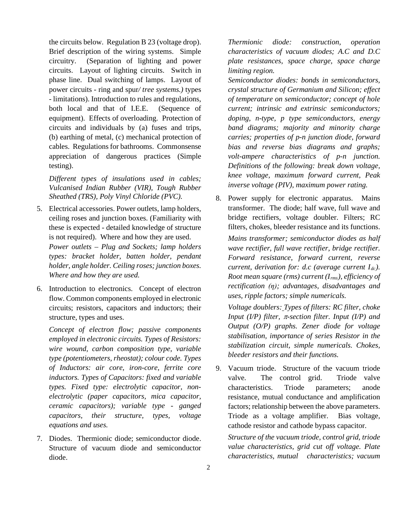the circuits below. Regulation B 23 (voltage drop). Brief description of the wiring systems. Simple circuitry. (Separation of lighting and power circuits. Layout of lighting circuits. Switch in phase line. Dual switching of lamps. Layout of power circuits - ring and spur*/ tree systems.)* types - limitations). Introduction to rules and regulations, both local and that of I.E.E. (Sequence of equipment). Effects of overloading. Protection of circuits and individuals by (a) fuses and trips, (b) earthing of metal, (c) mechanical protection of cables. Regulations for bathrooms. Commonsense appreciation of dangerous practices (Simple testing).

*Different types of insulations used in cables; Vulcanised Indian Rubber (VIR), Tough Rubber Sheathed (TRS), Poly Vinyl Chloride (PVC).*

- 5. Electrical accessories. Power outlets, lamp holders, ceiling roses and junction boxes. (Familiarity with these is expected - detailed knowledge of structure is not required). Where and how they are used. *Power outlets – Plug and Sockets; lamp holders types: bracket holder, batten holder, pendant holder, angle holder. Ceiling roses; junction boxes. Where and how they are used.*
- 6. Introduction to electronics. Concept of electron flow. Common components employed in electronic circuits; resistors, capacitors and inductors; their structure, types and uses.

*Concept of electron flow; passive components employed in electronic circuits. Types of Resistors: wire wound, carbon composition type, variable type (potentiometers, rheostat); colour code. Types of Inductors: air core, iron-core, ferrite core inductors. Types of Capacitors: fixed and variable types. Fixed type: electrolytic capacitor, nonelectrolytic (paper capacitors, mica capacitor, ceramic capacitors); variable type - ganged capacitors, their structure, types, voltage equations and uses.*

7. Diodes. Thermionic diode; semiconductor diode. Structure of vacuum diode and semiconductor diode.

*Thermionic diode: construction, operation characteristics of vacuum diodes; A.C and D.C plate resistances, space charge, space charge limiting region.*

*Semiconductor diodes: bonds in semiconductors, crystal structure of Germanium and Silicon; effect of temperature on semiconductor; concept of hole current; intrinsic and extrinsic semiconductors; doping, n-type, p type semiconductors, energy band diagrams; majority and minority charge carries; properties of p-n junction diode, forward bias and reverse bias diagrams and graphs; volt-ampere characteristics of p-n junction. Definitions of the following: break down voltage, knee voltage, maximum forward current, Peak inverse voltage (PIV), maximum power rating.*

8. Power supply for electronic apparatus. Mains transformer. The diode; half wave, full wave and bridge rectifiers, voltage doubler. Filters; RC filters, chokes, bleeder resistance and its functions.

*Mains transformer; semiconductor diodes as half wave rectifier, full wave rectifier, bridge rectifier. Forward resistance, forward current, reverse current, derivation for: d.c (average current*  $I_{dc}$ ). *Root mean square (rms) current (Irms), efficiency of rectification (η); advantages, disadvantages and uses, ripple factors; simple numericals.*

*Voltage doublers: Types of filters: RC filter, choke Input (I/P) filter,* π*-section filter. Input (I/P) and Output (O/P) graphs. Zener diode for voltage stabilisation, importance of series Resistor in the stabilization circuit, simple numericals. Chokes, bleeder resistors and their functions.*

9. Vacuum triode. Structure of the vacuum triode valve. The control grid. Triode valve characteristics. Triode parameters; anode resistance, mutual conductance and amplification factors; relationship between the above parameters. Triode as a voltage amplifier. Bias voltage, cathode resistor and cathode bypass capacitor.

*Structure of the vacuum triode, control grid, triode value characteristics, grid cut off voltage. Plate characteristics, mutual characteristics; vacuum*